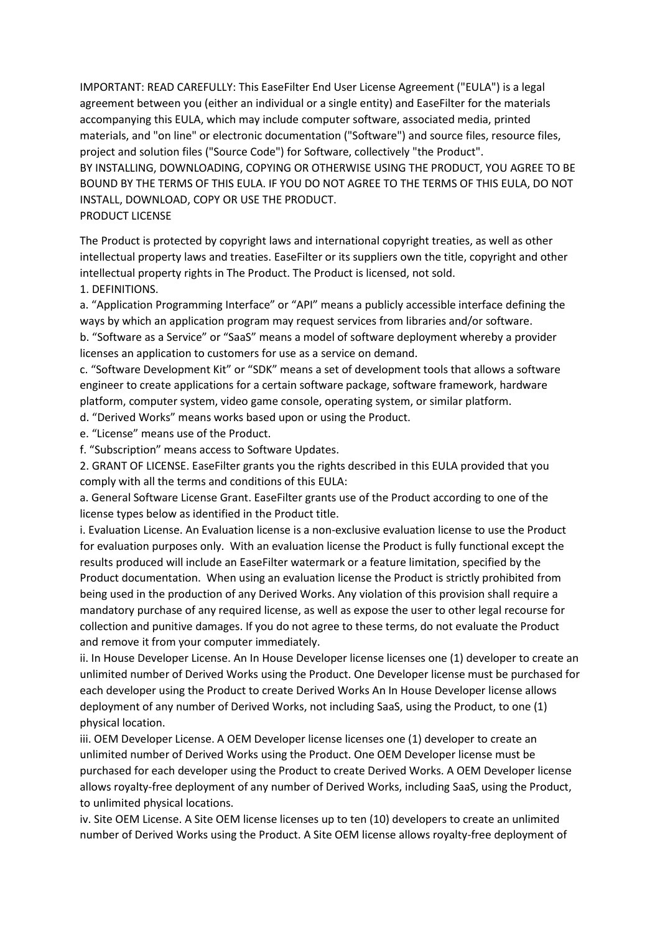IMPORTANT: READ CAREFULLY: This EaseFilter End User License Agreement ("EULA") is a legal agreement between you (either an individual or a single entity) and EaseFilter for the materials accompanying this EULA, which may include computer software, associated media, printed materials, and "on line" or electronic documentation ("Software") and source files, resource files, project and solution files ("Source Code") for Software, collectively "the Product". BY INSTALLING, DOWNLOADING, COPYING OR OTHERWISE USING THE PRODUCT, YOU AGREE TO BE BOUND BY THE TERMS OF THIS EULA. IF YOU DO NOT AGREE TO THE TERMS OF THIS EULA, DO NOT INSTALL, DOWNLOAD, COPY OR USE THE PRODUCT. PRODUCT LICENSE

The Product is protected by copyright laws and international copyright treaties, as well as other intellectual property laws and treaties. EaseFilter or its suppliers own the title, copyright and other intellectual property rights in The Product. The Product is licensed, not sold.

1. DEFINITIONS.

a. "Application Programming Interface" or "API" means a publicly accessible interface defining the ways by which an application program may request services from libraries and/or software.

b. "Software as a Service" or "SaaS" means a model of software deployment whereby a provider licenses an application to customers for use as a service on demand.

c. "Software Development Kit" or "SDK" means a set of development tools that allows a software engineer to create applications for a certain software package, software framework, hardware platform, computer system, video game console, operating system, or similar platform.

d. "Derived Works" means works based upon or using the Product.

e. "License" means use of the Product.

f. "Subscription" means access to Software Updates.

2. GRANT OF LICENSE. EaseFilter grants you the rights described in this EULA provided that you comply with all the terms and conditions of this EULA:

a. General Software License Grant. EaseFilter grants use of the Product according to one of the license types below as identified in the Product title.

i. Evaluation License. An Evaluation license is a non-exclusive evaluation license to use the Product for evaluation purposes only. With an evaluation license the Product is fully functional except the results produced will include an EaseFilter watermark or a feature limitation, specified by the Product documentation. When using an evaluation license the Product is strictly prohibited from being used in the production of any Derived Works. Any violation of this provision shall require a mandatory purchase of any required license, as well as expose the user to other legal recourse for collection and punitive damages. If you do not agree to these terms, do not evaluate the Product and remove it from your computer immediately.

ii. In House Developer License. An In House Developer license licenses one (1) developer to create an unlimited number of Derived Works using the Product. One Developer license must be purchased for each developer using the Product to create Derived Works An In House Developer license allows deployment of any number of Derived Works, not including SaaS, using the Product, to one (1) physical location.

iii. OEM Developer License. A OEM Developer license licenses one (1) developer to create an unlimited number of Derived Works using the Product. One OEM Developer license must be purchased for each developer using the Product to create Derived Works. A OEM Developer license allows royalty-free deployment of any number of Derived Works, including SaaS, using the Product, to unlimited physical locations.

iv. Site OEM License. A Site OEM license licenses up to ten (10) developers to create an unlimited number of Derived Works using the Product. A Site OEM license allows royalty-free deployment of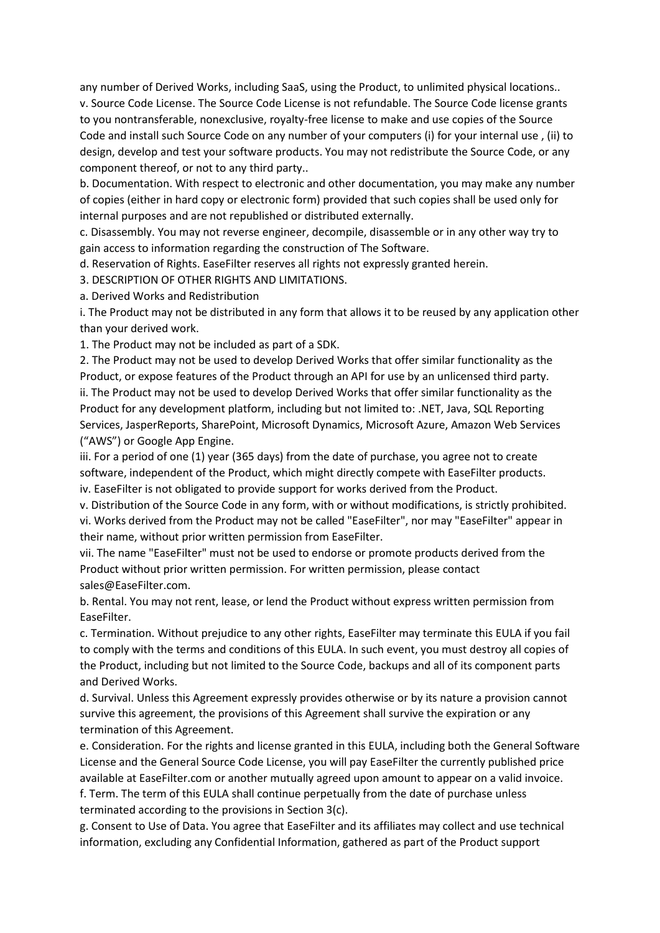any number of Derived Works, including SaaS, using the Product, to unlimited physical locations.. v. Source Code License. The Source Code License is not refundable. The Source Code license grants to you nontransferable, nonexclusive, royalty-free license to make and use copies of the Source Code and install such Source Code on any number of your computers (i) for your internal use , (ii) to design, develop and test your software products. You may not redistribute the Source Code, or any component thereof, or not to any third party..

b. Documentation. With respect to electronic and other documentation, you may make any number of copies (either in hard copy or electronic form) provided that such copies shall be used only for internal purposes and are not republished or distributed externally.

c. Disassembly. You may not reverse engineer, decompile, disassemble or in any other way try to gain access to information regarding the construction of The Software.

d. Reservation of Rights. EaseFilter reserves all rights not expressly granted herein.

3. DESCRIPTION OF OTHER RIGHTS AND LIMITATIONS.

a. Derived Works and Redistribution

i. The Product may not be distributed in any form that allows it to be reused by any application other than your derived work.

1. The Product may not be included as part of a SDK.

2. The Product may not be used to develop Derived Works that offer similar functionality as the Product, or expose features of the Product through an API for use by an unlicensed third party. ii. The Product may not be used to develop Derived Works that offer similar functionality as the Product for any development platform, including but not limited to: .NET, Java, SQL Reporting Services, JasperReports, SharePoint, Microsoft Dynamics, Microsoft Azure, Amazon Web Services ("AWS") or Google App Engine.

iii. For a period of one (1) year (365 days) from the date of purchase, you agree not to create software, independent of the Product, which might directly compete with EaseFilter products. iv. EaseFilter is not obligated to provide support for works derived from the Product.

v. Distribution of the Source Code in any form, with or without modifications, is strictly prohibited. vi. Works derived from the Product may not be called "EaseFilter", nor may "EaseFilter" appear in their name, without prior written permission from EaseFilter.

vii. The name "EaseFilter" must not be used to endorse or promote products derived from the Product without prior written permission. For written permission, please contact sales@EaseFilter.com.

b. Rental. You may not rent, lease, or lend the Product without express written permission from EaseFilter.

c. Termination. Without prejudice to any other rights, EaseFilter may terminate this EULA if you fail to comply with the terms and conditions of this EULA. In such event, you must destroy all copies of the Product, including but not limited to the Source Code, backups and all of its component parts and Derived Works.

d. Survival. Unless this Agreement expressly provides otherwise or by its nature a provision cannot survive this agreement, the provisions of this Agreement shall survive the expiration or any termination of this Agreement.

e. Consideration. For the rights and license granted in this EULA, including both the General Software License and the General Source Code License, you will pay EaseFilter the currently published price available at EaseFilter.com or another mutually agreed upon amount to appear on a valid invoice. f. Term. The term of this EULA shall continue perpetually from the date of purchase unless terminated according to the provisions in Section 3(c).

g. Consent to Use of Data. You agree that EaseFilter and its affiliates may collect and use technical information, excluding any Confidential Information, gathered as part of the Product support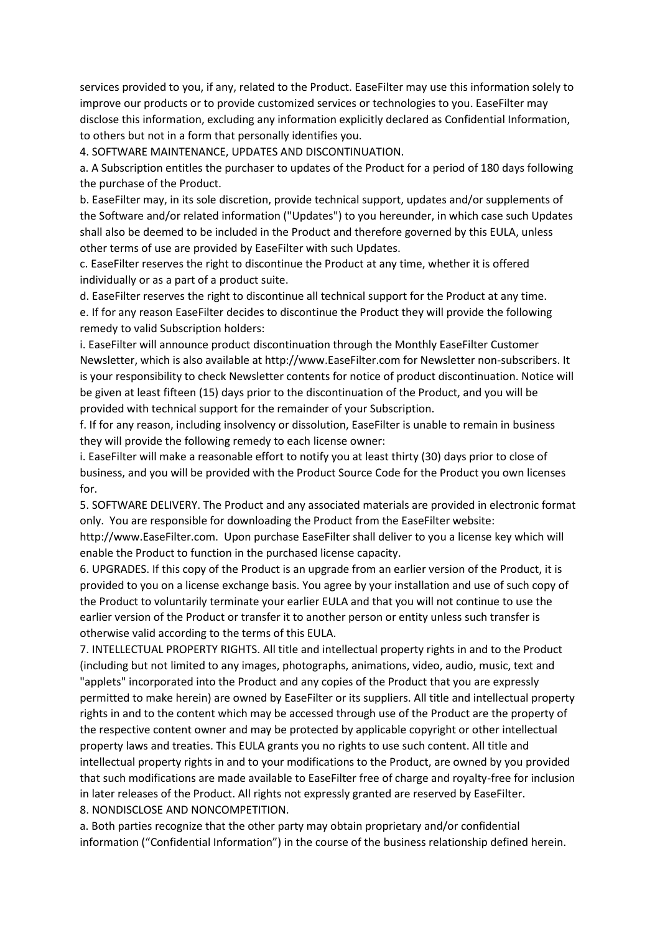services provided to you, if any, related to the Product. EaseFilter may use this information solely to improve our products or to provide customized services or technologies to you. EaseFilter may disclose this information, excluding any information explicitly declared as Confidential Information, to others but not in a form that personally identifies you.

4. SOFTWARE MAINTENANCE, UPDATES AND DISCONTINUATION.

a. A Subscription entitles the purchaser to updates of the Product for a period of 180 days following the purchase of the Product.

b. EaseFilter may, in its sole discretion, provide technical support, updates and/or supplements of the Software and/or related information ("Updates") to you hereunder, in which case such Updates shall also be deemed to be included in the Product and therefore governed by this EULA, unless other terms of use are provided by EaseFilter with such Updates.

c. EaseFilter reserves the right to discontinue the Product at any time, whether it is offered individually or as a part of a product suite.

d. EaseFilter reserves the right to discontinue all technical support for the Product at any time. e. If for any reason EaseFilter decides to discontinue the Product they will provide the following remedy to valid Subscription holders:

i. EaseFilter will announce product discontinuation through the Monthly EaseFilter Customer Newsletter, which is also available at http://www.EaseFilter.com for Newsletter non-subscribers. It is your responsibility to check Newsletter contents for notice of product discontinuation. Notice will be given at least fifteen (15) days prior to the discontinuation of the Product, and you will be provided with technical support for the remainder of your Subscription.

f. If for any reason, including insolvency or dissolution, EaseFilter is unable to remain in business they will provide the following remedy to each license owner:

i. EaseFilter will make a reasonable effort to notify you at least thirty (30) days prior to close of business, and you will be provided with the Product Source Code for the Product you own licenses for.

5. SOFTWARE DELIVERY. The Product and any associated materials are provided in electronic format only. You are responsible for downloading the Product from the EaseFilter website: http://www.EaseFilter.com. Upon purchase EaseFilter shall deliver to you a license key which will

enable the Product to function in the purchased license capacity.

6. UPGRADES. If this copy of the Product is an upgrade from an earlier version of the Product, it is provided to you on a license exchange basis. You agree by your installation and use of such copy of the Product to voluntarily terminate your earlier EULA and that you will not continue to use the earlier version of the Product or transfer it to another person or entity unless such transfer is otherwise valid according to the terms of this EULA.

7. INTELLECTUAL PROPERTY RIGHTS. All title and intellectual property rights in and to the Product (including but not limited to any images, photographs, animations, video, audio, music, text and "applets" incorporated into the Product and any copies of the Product that you are expressly permitted to make herein) are owned by EaseFilter or its suppliers. All title and intellectual property rights in and to the content which may be accessed through use of the Product are the property of the respective content owner and may be protected by applicable copyright or other intellectual property laws and treaties. This EULA grants you no rights to use such content. All title and intellectual property rights in and to your modifications to the Product, are owned by you provided that such modifications are made available to EaseFilter free of charge and royalty-free for inclusion in later releases of the Product. All rights not expressly granted are reserved by EaseFilter. 8. NONDISCLOSE AND NONCOMPETITION.

a. Both parties recognize that the other party may obtain proprietary and/or confidential information ("Confidential Information") in the course of the business relationship defined herein.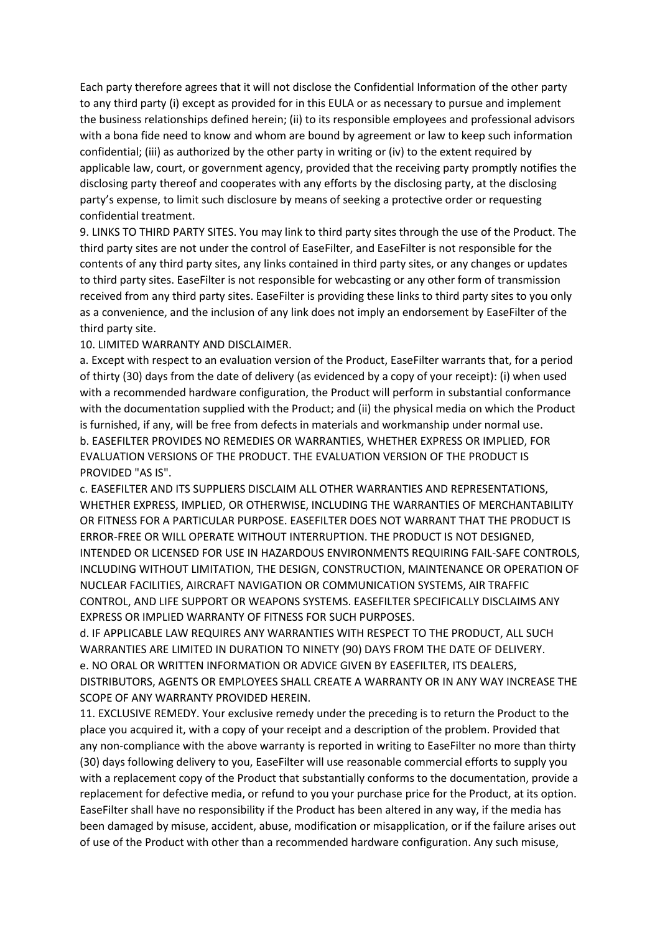Each party therefore agrees that it will not disclose the Confidential Information of the other party to any third party (i) except as provided for in this EULA or as necessary to pursue and implement the business relationships defined herein; (ii) to its responsible employees and professional advisors with a bona fide need to know and whom are bound by agreement or law to keep such information confidential; (iii) as authorized by the other party in writing or (iv) to the extent required by applicable law, court, or government agency, provided that the receiving party promptly notifies the disclosing party thereof and cooperates with any efforts by the disclosing party, at the disclosing party's expense, to limit such disclosure by means of seeking a protective order or requesting confidential treatment.

9. LINKS TO THIRD PARTY SITES. You may link to third party sites through the use of the Product. The third party sites are not under the control of EaseFilter, and EaseFilter is not responsible for the contents of any third party sites, any links contained in third party sites, or any changes or updates to third party sites. EaseFilter is not responsible for webcasting or any other form of transmission received from any third party sites. EaseFilter is providing these links to third party sites to you only as a convenience, and the inclusion of any link does not imply an endorsement by EaseFilter of the third party site.

10. LIMITED WARRANTY AND DISCLAIMER.

a. Except with respect to an evaluation version of the Product, EaseFilter warrants that, for a period of thirty (30) days from the date of delivery (as evidenced by a copy of your receipt): (i) when used with a recommended hardware configuration, the Product will perform in substantial conformance with the documentation supplied with the Product; and (ii) the physical media on which the Product is furnished, if any, will be free from defects in materials and workmanship under normal use. b. EASEFILTER PROVIDES NO REMEDIES OR WARRANTIES, WHETHER EXPRESS OR IMPLIED, FOR EVALUATION VERSIONS OF THE PRODUCT. THE EVALUATION VERSION OF THE PRODUCT IS PROVIDED "AS IS".

c. EASEFILTER AND ITS SUPPLIERS DISCLAIM ALL OTHER WARRANTIES AND REPRESENTATIONS, WHETHER EXPRESS, IMPLIED, OR OTHERWISE, INCLUDING THE WARRANTIES OF MERCHANTABILITY OR FITNESS FOR A PARTICULAR PURPOSE. EASEFILTER DOES NOT WARRANT THAT THE PRODUCT IS ERROR-FREE OR WILL OPERATE WITHOUT INTERRUPTION. THE PRODUCT IS NOT DESIGNED, INTENDED OR LICENSED FOR USE IN HAZARDOUS ENVIRONMENTS REQUIRING FAIL-SAFE CONTROLS, INCLUDING WITHOUT LIMITATION, THE DESIGN, CONSTRUCTION, MAINTENANCE OR OPERATION OF NUCLEAR FACILITIES, AIRCRAFT NAVIGATION OR COMMUNICATION SYSTEMS, AIR TRAFFIC CONTROL, AND LIFE SUPPORT OR WEAPONS SYSTEMS. EASEFILTER SPECIFICALLY DISCLAIMS ANY EXPRESS OR IMPLIED WARRANTY OF FITNESS FOR SUCH PURPOSES.

d. IF APPLICABLE LAW REQUIRES ANY WARRANTIES WITH RESPECT TO THE PRODUCT, ALL SUCH WARRANTIES ARE LIMITED IN DURATION TO NINETY (90) DAYS FROM THE DATE OF DELIVERY. e. NO ORAL OR WRITTEN INFORMATION OR ADVICE GIVEN BY EASEFILTER, ITS DEALERS, DISTRIBUTORS, AGENTS OR EMPLOYEES SHALL CREATE A WARRANTY OR IN ANY WAY INCREASE THE SCOPE OF ANY WARRANTY PROVIDED HEREIN.

11. EXCLUSIVE REMEDY. Your exclusive remedy under the preceding is to return the Product to the place you acquired it, with a copy of your receipt and a description of the problem. Provided that any non-compliance with the above warranty is reported in writing to EaseFilter no more than thirty (30) days following delivery to you, EaseFilter will use reasonable commercial efforts to supply you with a replacement copy of the Product that substantially conforms to the documentation, provide a replacement for defective media, or refund to you your purchase price for the Product, at its option. EaseFilter shall have no responsibility if the Product has been altered in any way, if the media has been damaged by misuse, accident, abuse, modification or misapplication, or if the failure arises out of use of the Product with other than a recommended hardware configuration. Any such misuse,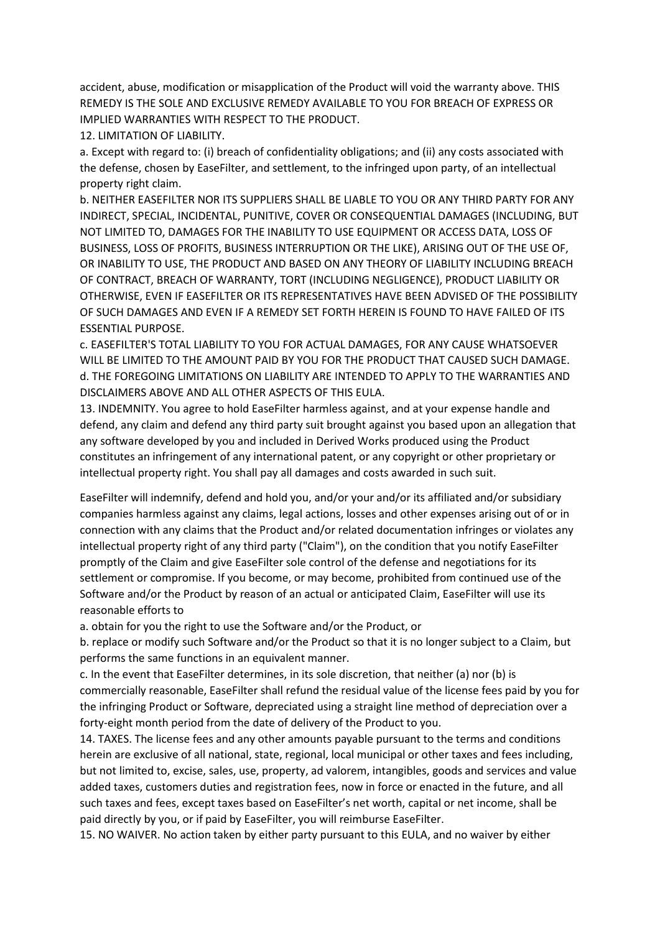accident, abuse, modification or misapplication of the Product will void the warranty above. THIS REMEDY IS THE SOLE AND EXCLUSIVE REMEDY AVAILABLE TO YOU FOR BREACH OF EXPRESS OR IMPLIED WARRANTIES WITH RESPECT TO THE PRODUCT.

12. LIMITATION OF LIABILITY.

a. Except with regard to: (i) breach of confidentiality obligations; and (ii) any costs associated with the defense, chosen by EaseFilter, and settlement, to the infringed upon party, of an intellectual property right claim.

b. NEITHER EASEFILTER NOR ITS SUPPLIERS SHALL BE LIABLE TO YOU OR ANY THIRD PARTY FOR ANY INDIRECT, SPECIAL, INCIDENTAL, PUNITIVE, COVER OR CONSEQUENTIAL DAMAGES (INCLUDING, BUT NOT LIMITED TO, DAMAGES FOR THE INABILITY TO USE EQUIPMENT OR ACCESS DATA, LOSS OF BUSINESS, LOSS OF PROFITS, BUSINESS INTERRUPTION OR THE LIKE), ARISING OUT OF THE USE OF, OR INABILITY TO USE, THE PRODUCT AND BASED ON ANY THEORY OF LIABILITY INCLUDING BREACH OF CONTRACT, BREACH OF WARRANTY, TORT (INCLUDING NEGLIGENCE), PRODUCT LIABILITY OR OTHERWISE, EVEN IF EASEFILTER OR ITS REPRESENTATIVES HAVE BEEN ADVISED OF THE POSSIBILITY OF SUCH DAMAGES AND EVEN IF A REMEDY SET FORTH HEREIN IS FOUND TO HAVE FAILED OF ITS ESSENTIAL PURPOSE.

c. EASEFILTER'S TOTAL LIABILITY TO YOU FOR ACTUAL DAMAGES, FOR ANY CAUSE WHATSOEVER WILL BE LIMITED TO THE AMOUNT PAID BY YOU FOR THE PRODUCT THAT CAUSED SUCH DAMAGE. d. THE FOREGOING LIMITATIONS ON LIABILITY ARE INTENDED TO APPLY TO THE WARRANTIES AND DISCLAIMERS ABOVE AND ALL OTHER ASPECTS OF THIS EULA.

13. INDEMNITY. You agree to hold EaseFilter harmless against, and at your expense handle and defend, any claim and defend any third party suit brought against you based upon an allegation that any software developed by you and included in Derived Works produced using the Product constitutes an infringement of any international patent, or any copyright or other proprietary or intellectual property right. You shall pay all damages and costs awarded in such suit.

EaseFilter will indemnify, defend and hold you, and/or your and/or its affiliated and/or subsidiary companies harmless against any claims, legal actions, losses and other expenses arising out of or in connection with any claims that the Product and/or related documentation infringes or violates any intellectual property right of any third party ("Claim"), on the condition that you notify EaseFilter promptly of the Claim and give EaseFilter sole control of the defense and negotiations for its settlement or compromise. If you become, or may become, prohibited from continued use of the Software and/or the Product by reason of an actual or anticipated Claim, EaseFilter will use its reasonable efforts to

a. obtain for you the right to use the Software and/or the Product, or

b. replace or modify such Software and/or the Product so that it is no longer subject to a Claim, but performs the same functions in an equivalent manner.

c. In the event that EaseFilter determines, in its sole discretion, that neither (a) nor (b) is commercially reasonable, EaseFilter shall refund the residual value of the license fees paid by you for the infringing Product or Software, depreciated using a straight line method of depreciation over a forty-eight month period from the date of delivery of the Product to you.

14. TAXES. The license fees and any other amounts payable pursuant to the terms and conditions herein are exclusive of all national, state, regional, local municipal or other taxes and fees including, but not limited to, excise, sales, use, property, ad valorem, intangibles, goods and services and value added taxes, customers duties and registration fees, now in force or enacted in the future, and all such taxes and fees, except taxes based on EaseFilter's net worth, capital or net income, shall be paid directly by you, or if paid by EaseFilter, you will reimburse EaseFilter.

15. NO WAIVER. No action taken by either party pursuant to this EULA, and no waiver by either